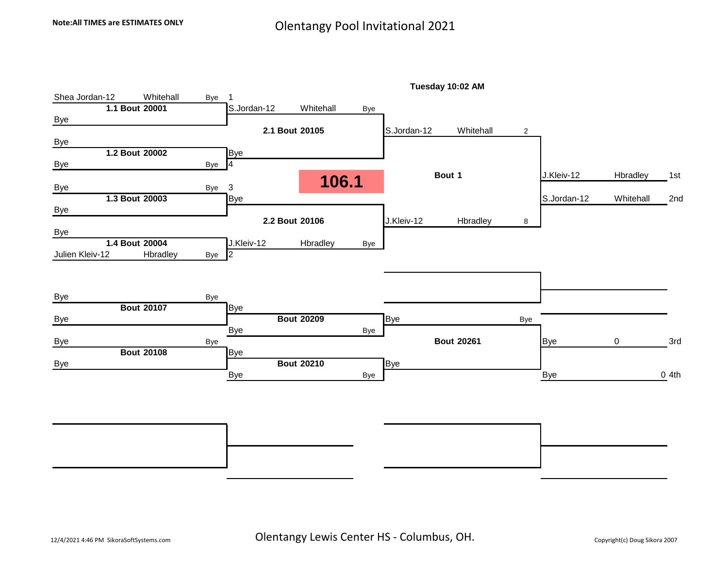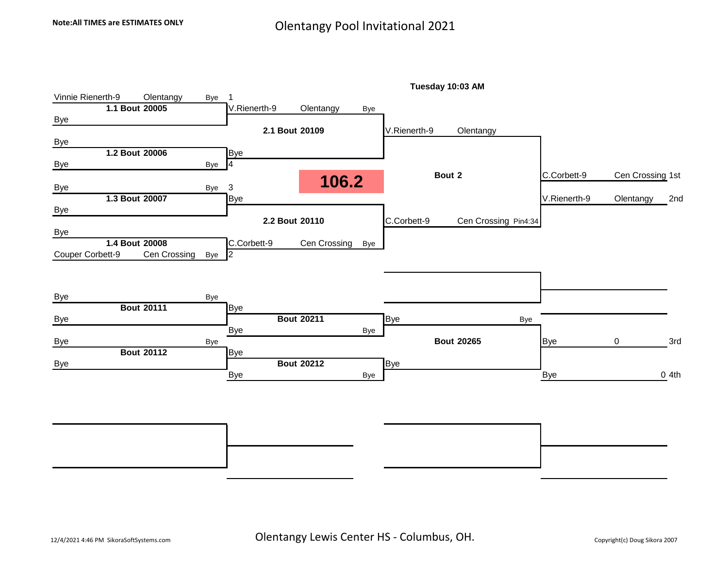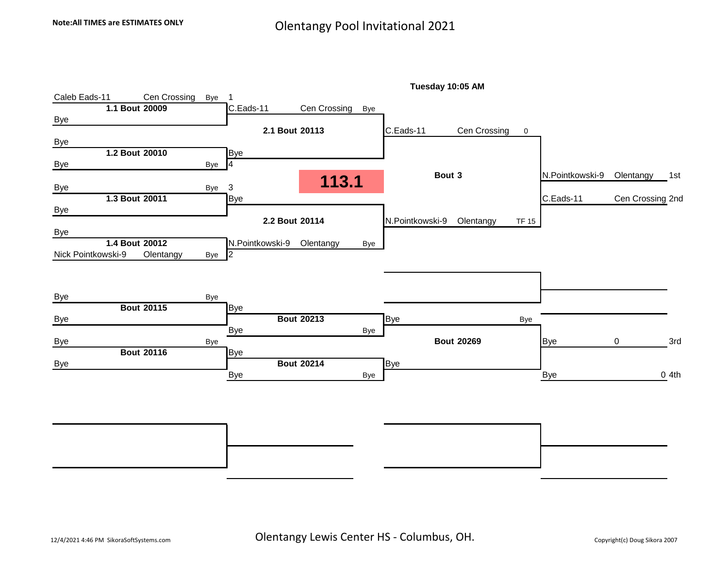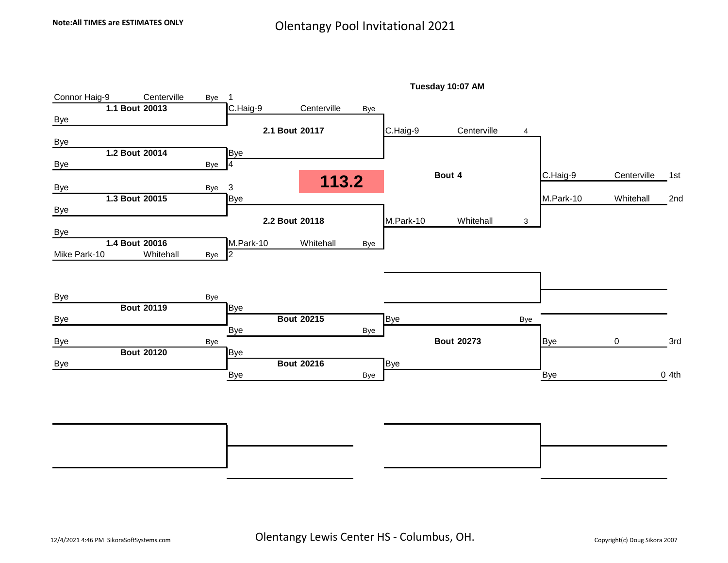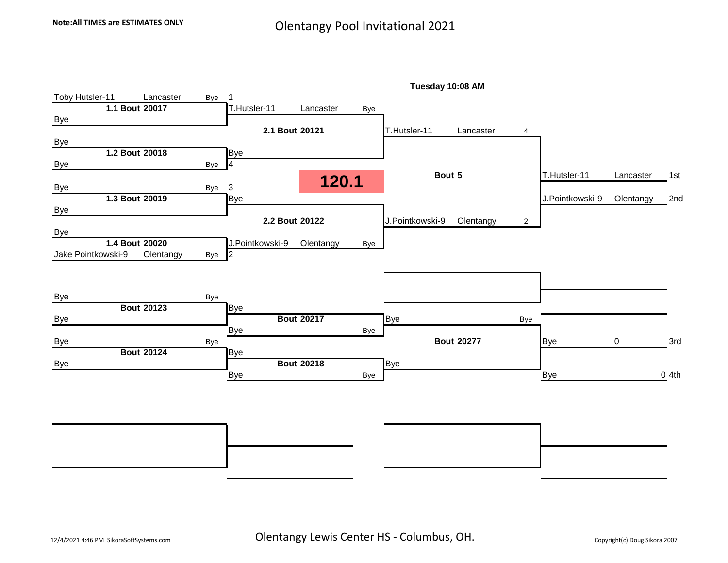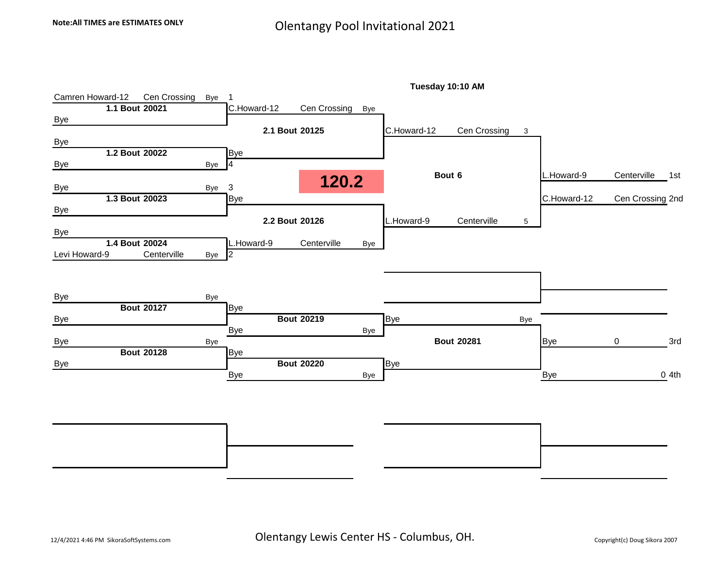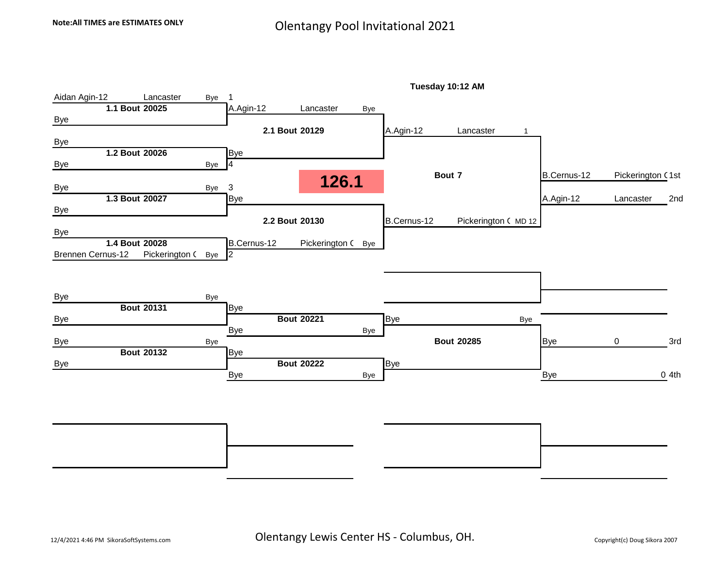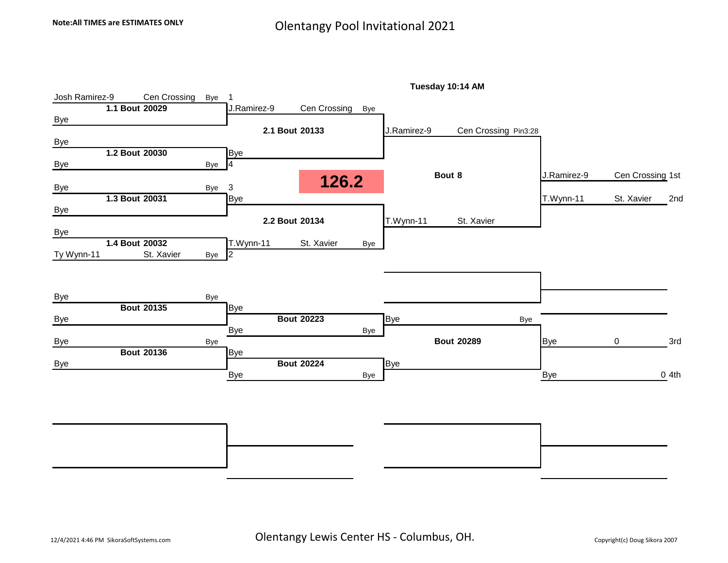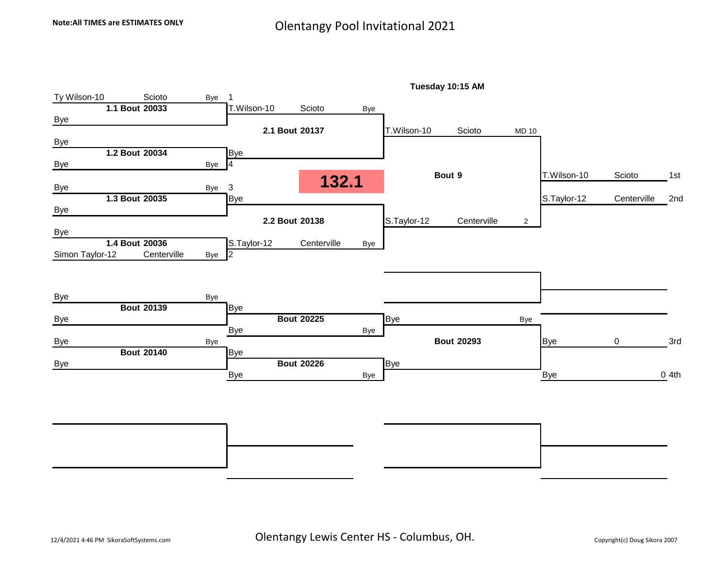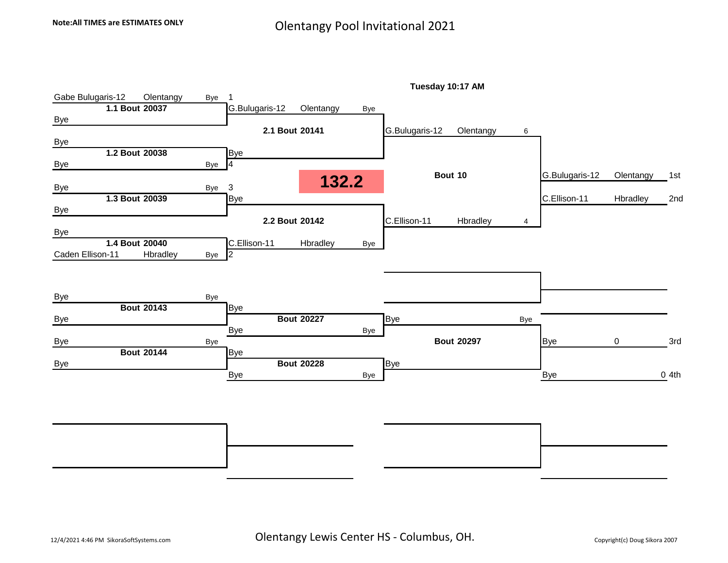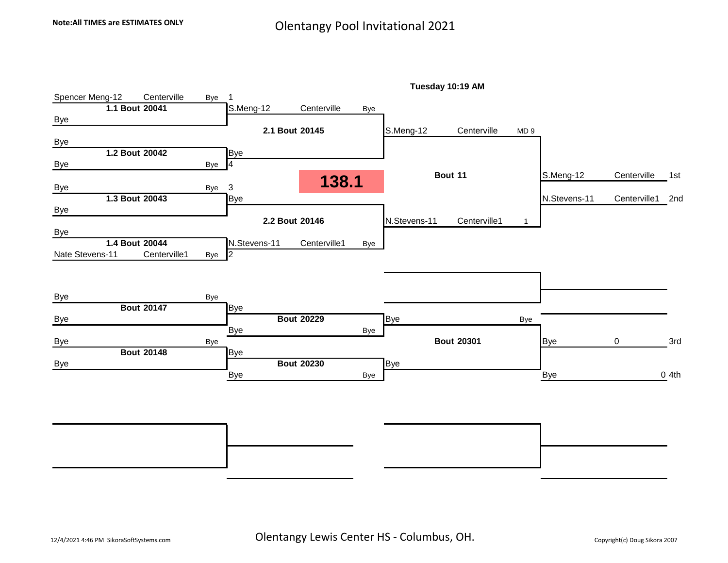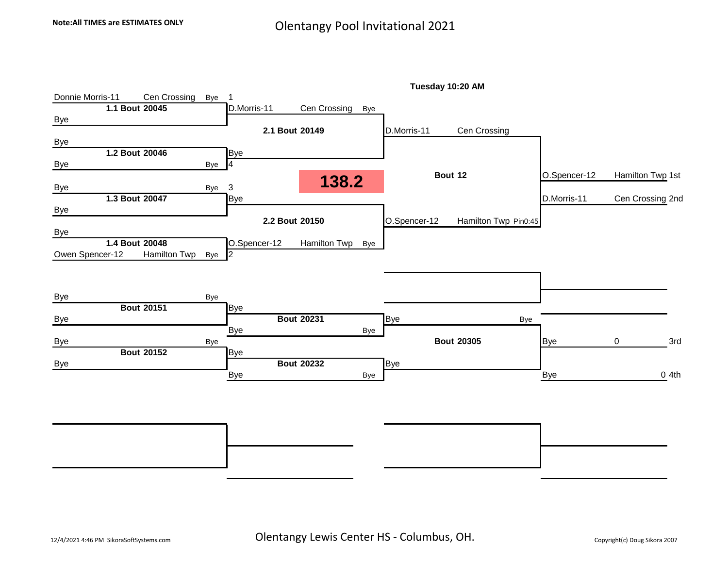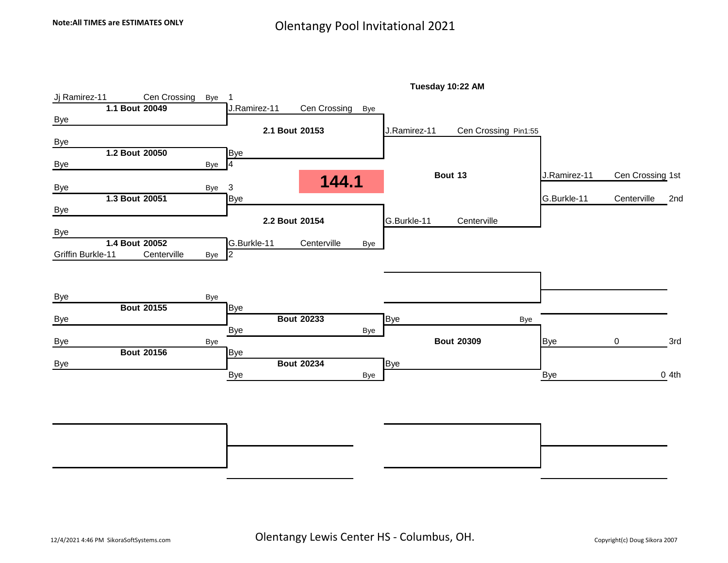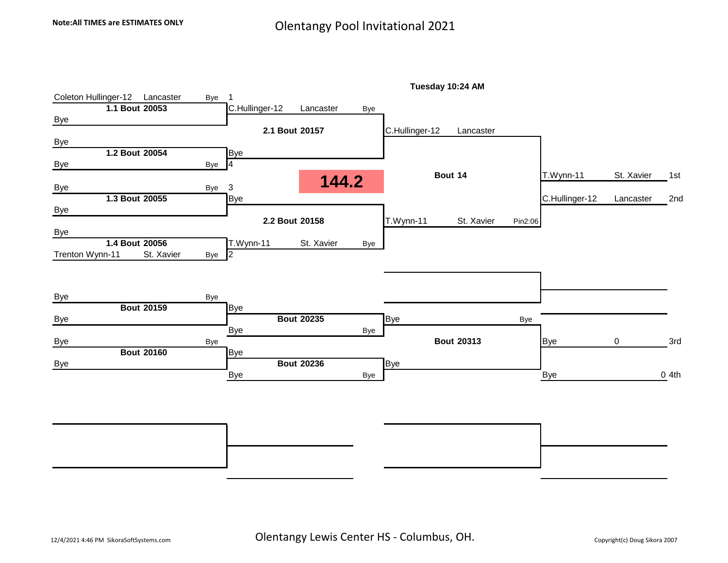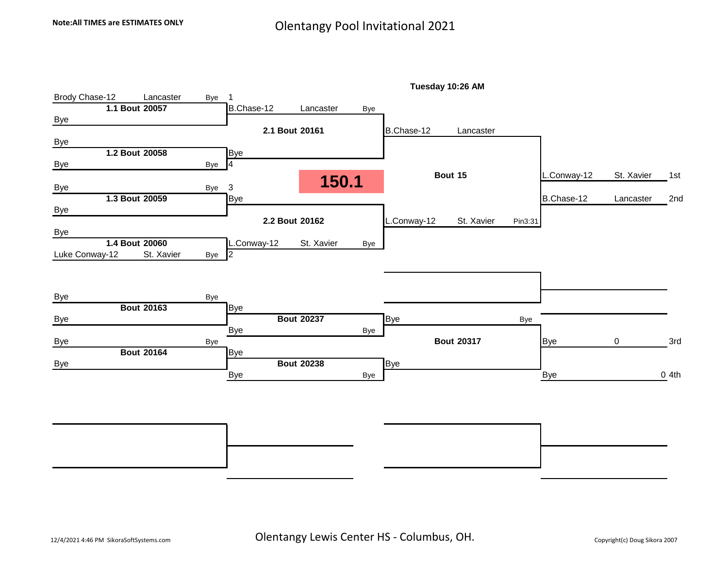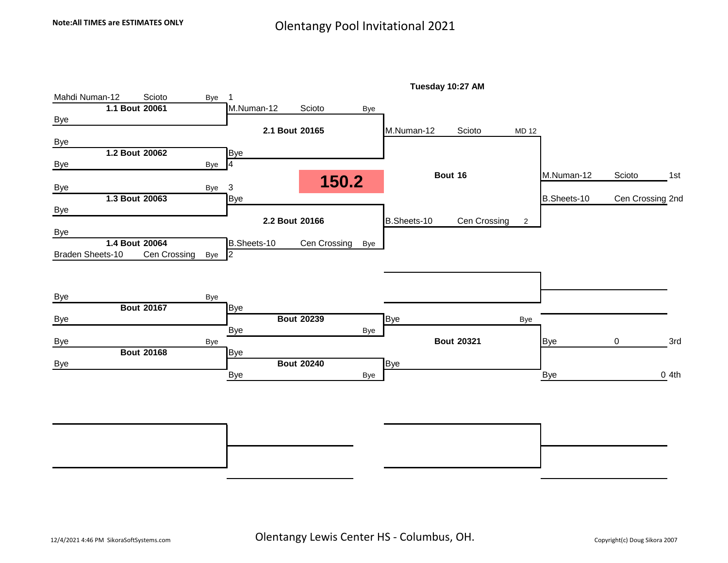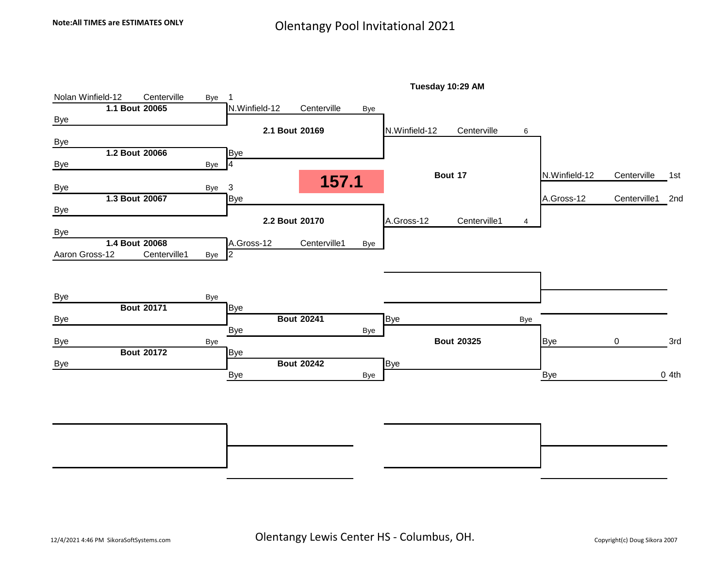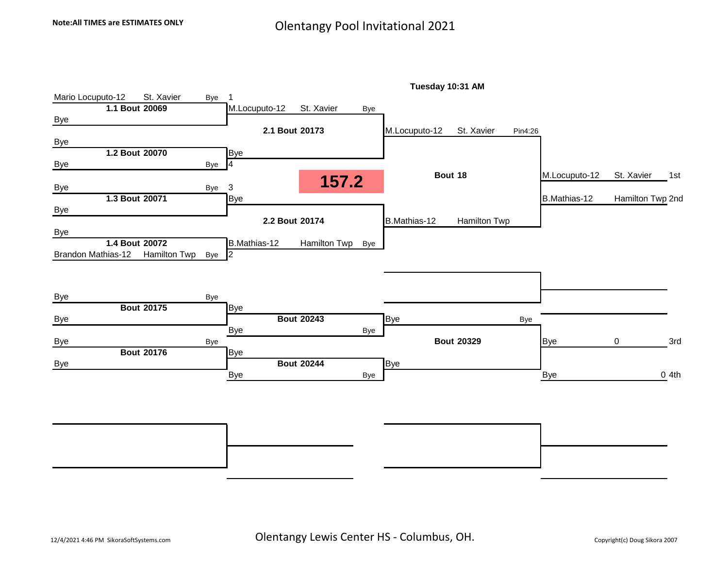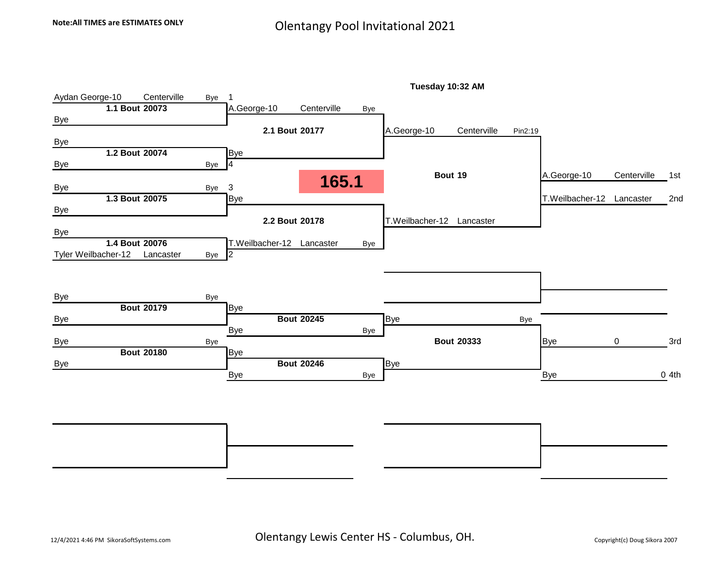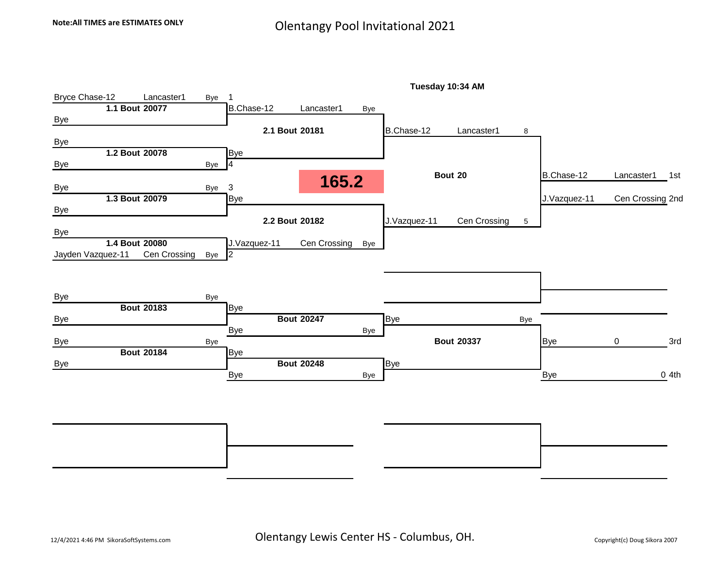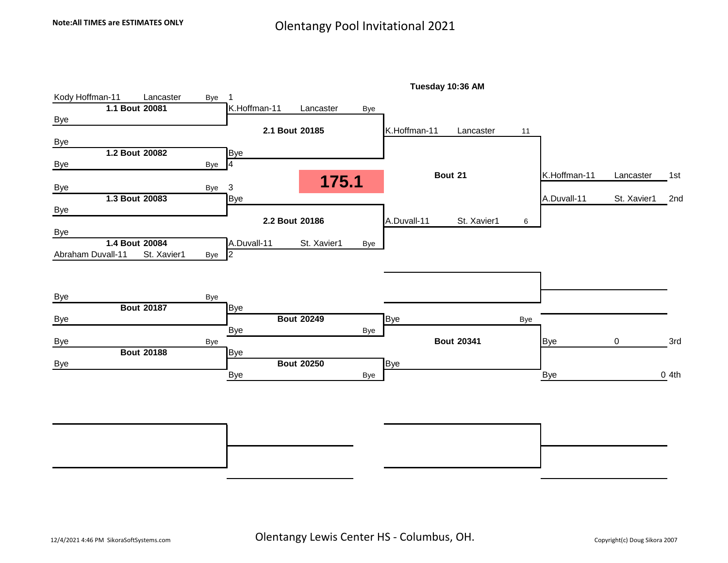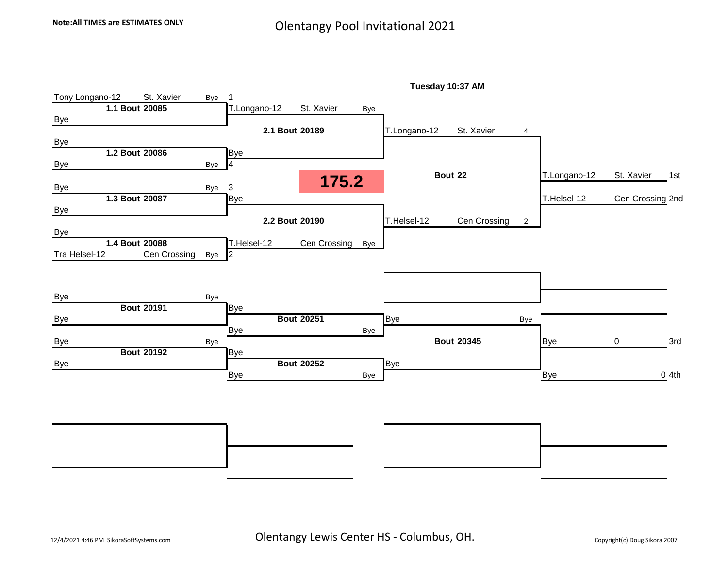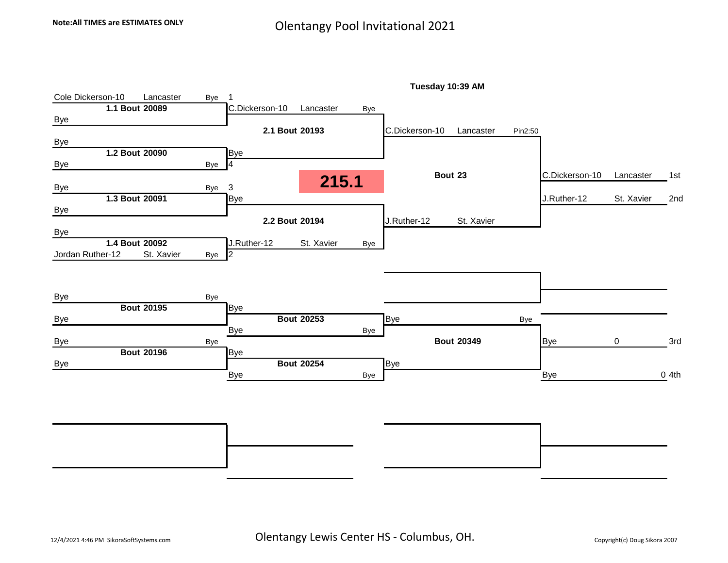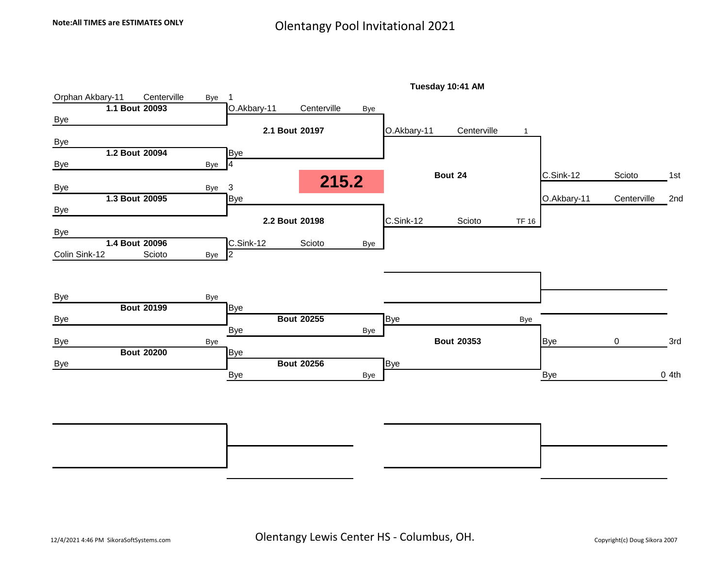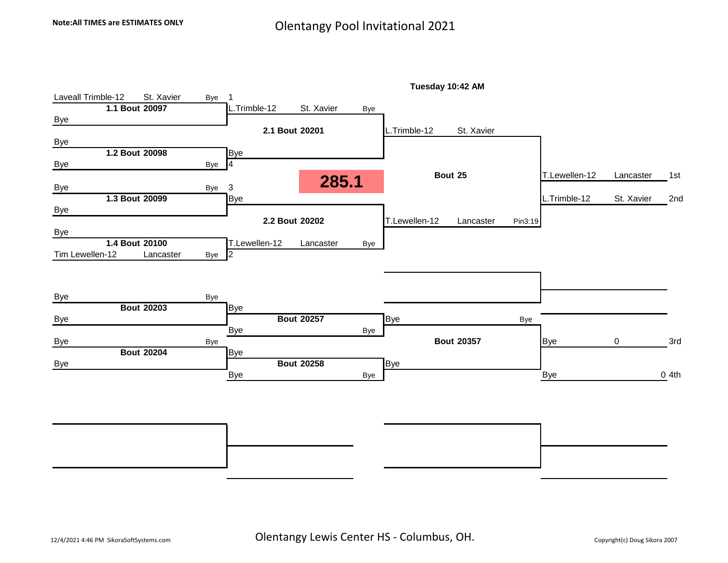